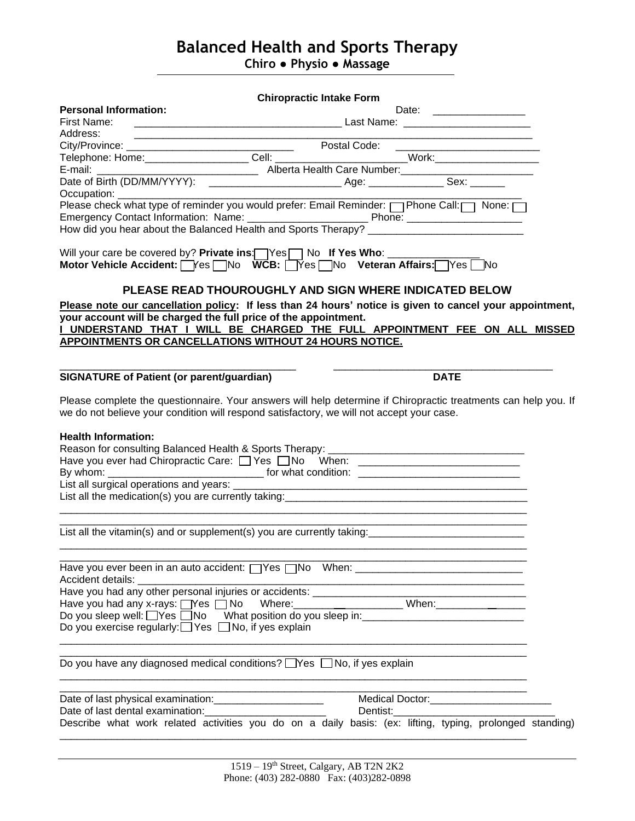# **Balanced Health and Sports Therapy**

**Chiro ● Physio ● Massage**

|                                                                                                                                                       | <b>Chiropractic Intake Form</b>                             |                                                                                                                                                                                                                                 |  |
|-------------------------------------------------------------------------------------------------------------------------------------------------------|-------------------------------------------------------------|---------------------------------------------------------------------------------------------------------------------------------------------------------------------------------------------------------------------------------|--|
| <b>Personal Information:</b><br>First Name:                                                                                                           |                                                             | Date: __________________                                                                                                                                                                                                        |  |
| Address:                                                                                                                                              | <u> 1989 - Johann Barbara, martxa al III-lea (h. 1989).</u> |                                                                                                                                                                                                                                 |  |
|                                                                                                                                                       |                                                             |                                                                                                                                                                                                                                 |  |
|                                                                                                                                                       |                                                             |                                                                                                                                                                                                                                 |  |
|                                                                                                                                                       |                                                             |                                                                                                                                                                                                                                 |  |
|                                                                                                                                                       |                                                             | Cell:<br>Telephone: Home: Cell: Cell: Cell: Work: Work: Work: Work: Cell: E-mail: Alberta Health Care Number: North (DD/MM/YYYY): Compare: Alberta Health Care Number: Sex: Compare: Cell: Care of Birth (DD/MM/YYYY): Compare: |  |
| Occupation: ___________                                                                                                                               |                                                             |                                                                                                                                                                                                                                 |  |
|                                                                                                                                                       |                                                             | Please check what type of reminder you would prefer: Email Reminder: net Phone Call: None:<br>How did you hear about the Balanced Health and Sports Therapy?                                                                    |  |
| Will your care be covered by? Private ins: Yes No If Yes Who: _____<br>Motor Vehicle Accident:   Yes   No WCB:   Yes   No Veteran Affairs:   Yes   No |                                                             | PLEASE READ THOUROUGHLY AND SIGN WHERE INDICATED BELOW                                                                                                                                                                          |  |
|                                                                                                                                                       |                                                             |                                                                                                                                                                                                                                 |  |
| your account will be charged the full price of the appointment.                                                                                       |                                                             | Please note our cancellation policy: If less than 24 hours' notice is given to cancel your appointment,                                                                                                                         |  |
|                                                                                                                                                       |                                                             | I UNDERSTAND THAT I WILL BE CHARGED THE FULL APPOINTMENT FEE ON ALL MISSED                                                                                                                                                      |  |
| APPOINTMENTS OR CANCELLATIONS WITHOUT 24 HOURS NOTICE.                                                                                                |                                                             |                                                                                                                                                                                                                                 |  |
|                                                                                                                                                       |                                                             |                                                                                                                                                                                                                                 |  |
| <b>SIGNATURE of Patient (or parent/guardian)</b>                                                                                                      |                                                             | <b>DATE</b>                                                                                                                                                                                                                     |  |
|                                                                                                                                                       |                                                             | Please complete the questionnaire. Your answers will help determine if Chiropractic treatments can help you. If                                                                                                                 |  |
| we do not believe your condition will respond satisfactory, we will not accept your case.                                                             |                                                             |                                                                                                                                                                                                                                 |  |
|                                                                                                                                                       |                                                             |                                                                                                                                                                                                                                 |  |
| <b>Health Information:</b>                                                                                                                            |                                                             |                                                                                                                                                                                                                                 |  |
|                                                                                                                                                       |                                                             |                                                                                                                                                                                                                                 |  |
|                                                                                                                                                       |                                                             | Have you ever had Chiropractic Care: □ Yes □ No When: __________________________                                                                                                                                                |  |
|                                                                                                                                                       |                                                             |                                                                                                                                                                                                                                 |  |
|                                                                                                                                                       |                                                             |                                                                                                                                                                                                                                 |  |
| List all the medication(s) you are currently taking: ___________________________                                                                      |                                                             |                                                                                                                                                                                                                                 |  |
|                                                                                                                                                       |                                                             |                                                                                                                                                                                                                                 |  |
|                                                                                                                                                       |                                                             | List all the vitamin(s) and or supplement(s) you are currently taking: ____________________________                                                                                                                             |  |
|                                                                                                                                                       |                                                             |                                                                                                                                                                                                                                 |  |
| Accident details:                                                                                                                                     |                                                             |                                                                                                                                                                                                                                 |  |
|                                                                                                                                                       |                                                             |                                                                                                                                                                                                                                 |  |
|                                                                                                                                                       |                                                             |                                                                                                                                                                                                                                 |  |
|                                                                                                                                                       |                                                             | Have you had any x-rays: West No Where: When: When: When: When:                                                                                                                                                                 |  |
| Do you exercise regularly:□ Yes □ No, if yes explain                                                                                                  |                                                             |                                                                                                                                                                                                                                 |  |
|                                                                                                                                                       |                                                             |                                                                                                                                                                                                                                 |  |
| Do you have any diagnosed medical conditions? □Yes □ No, if yes explain                                                                               |                                                             |                                                                                                                                                                                                                                 |  |
|                                                                                                                                                       |                                                             |                                                                                                                                                                                                                                 |  |
| Date of last physical examination: ______________________                                                                                             |                                                             | Medical Doctor:___________________________                                                                                                                                                                                      |  |
| Date of last dental examination: ___________________________                                                                                          |                                                             | Dentist:                                                                                                                                                                                                                        |  |
|                                                                                                                                                       |                                                             | Describe what work related activities you do on a daily basis: (ex: lifting, typing, prolonged standing)                                                                                                                        |  |
|                                                                                                                                                       |                                                             |                                                                                                                                                                                                                                 |  |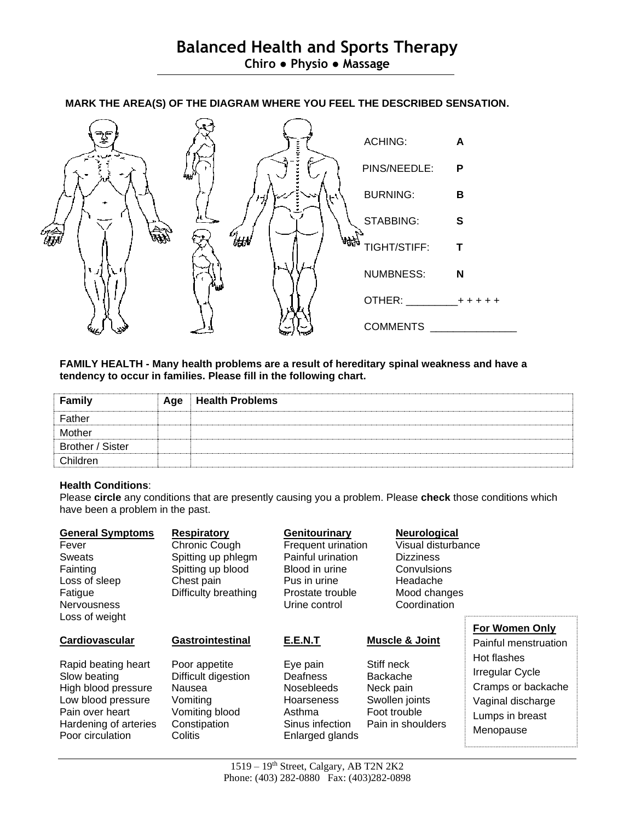

## **MARK THE AREA(S) OF THE DIAGRAM WHERE YOU FEEL THE DESCRIBED SENSATION.**

## **FAMILY HEALTH - Many health problems are a result of hereditary spinal weakness and have a tendency to occur in families. Please fill in the following chart.**

| <b>Family</b>    | Age | <b>Health Problems</b> |
|------------------|-----|------------------------|
| Father           |     |                        |
| Mother           |     |                        |
| Brother / Sister |     |                        |
| Children         |     |                        |

## **Health Conditions**:

Please **circle** any conditions that are presently causing you a problem. Please **check** those conditions which have been a problem in the past.

| <b>General Symptoms</b><br>Fever<br><b>Sweats</b><br>Fainting<br>Loss of sleep<br>Fatigue<br><b>Nervousness</b><br>Loss of weight                                  | <b>Respiratory</b><br>Chronic Cough<br>Spitting up phlegm<br>Spitting up blood<br>Chest pain<br>Difficulty breathing        | Genitourinary<br><b>Frequent urination</b><br>Painful urination<br>Blood in urine<br>Pus in urine<br>Prostate trouble<br>Urine control | <b>Neurological</b><br>Visual disturbance<br><b>Dizziness</b><br>Convulsions<br>Headache<br>Mood changes<br>Coordination |                                                                                                                                                                   |
|--------------------------------------------------------------------------------------------------------------------------------------------------------------------|-----------------------------------------------------------------------------------------------------------------------------|----------------------------------------------------------------------------------------------------------------------------------------|--------------------------------------------------------------------------------------------------------------------------|-------------------------------------------------------------------------------------------------------------------------------------------------------------------|
| Cardiovascular<br>Rapid beating heart<br>Slow beating<br>High blood pressure<br>Low blood pressure<br>Pain over heart<br>Hardening of arteries<br>Poor circulation | Gastrointestinal<br>Poor appetite<br>Difficult digestion<br>Nausea<br>Vomiting<br>Vomiting blood<br>Constipation<br>Colitis | E.E.N.T<br>Eye pain<br>Deafness<br><b>Nosebleeds</b><br><b>Hoarseness</b><br>Asthma<br>Sinus infection<br>Enlarged glands              | <b>Muscle &amp; Joint</b><br>Stiff neck<br>Backache<br>Neck pain<br>Swollen joints<br>Foot trouble<br>Pain in shoulders  | <b>For Women Only</b><br>Painful menstruation<br>Hot flashes<br><b>Irregular Cycle</b><br>Cramps or backache<br>Vaginal discharge<br>Lumps in breast<br>Menopause |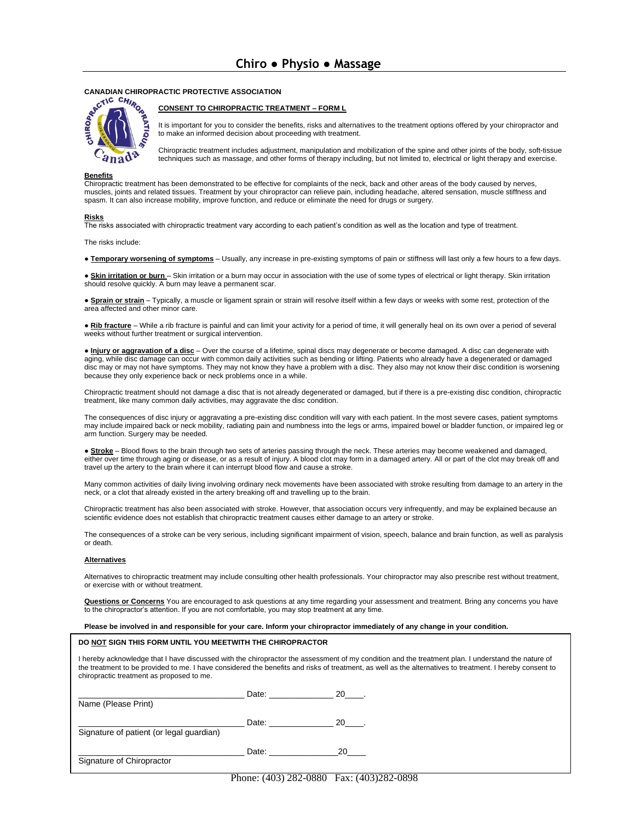

### **CONSENT TO CHIROPRACTIC TREATMENT – FORM L**

It is important for you to consider the benefits, risks and alternatives to the treatment options offered by your chiropractor and to make an informed decision about proceeding with treatment.

Chiropractic treatment includes adjustment, manipulation and mobilization of the spine and other joints of the body, soft-tissue techniques such as massage, and other forms of therapy including, but not limited to, electrical or light therapy and exercise.

### **Benefits**

Chiropractic treatment has been demonstrated to be effective for complaints of the neck, back and other areas of the body caused by nerves, muscles, joints and related tissues. Treatment by your chiropractor can relieve pain, including headache, altered sensation, muscle stiffness and spasm. It can also increase mobility, improve function, and reduce or eliminate the need for drugs or surgery.

#### **Risks**

The risks associated with chiropractic treatment vary according to each patient's condition as well as the location and type of treatment.

The risks include:

● **Temporary worsening of symptoms** – Usually, any increase in pre-existing symptoms of pain or stiffness will last only a few hours to a few days.

● **Skin irritation or burn** – Skin irritation or a burn may occur in association with the use of some types of electrical or light therapy. Skin irritation should resolve quickly. A burn may leave a permanent scar.

● **Sprain or strain** – Typically, a muscle or ligament sprain or strain will resolve itself within a few days or weeks with some rest, protection of the area affected and other minor care.

● **Rib fracture** – While a rib fracture is painful and can limit your activity for a period of time, it will generally heal on its own over a period of several weeks without further treatment or surgical intervention.

● **Injury or aggravation of a disc** – Over the course of a lifetime, spinal discs may degenerate or become damaged. A disc can degenerate with aging, while disc damage can occur with common daily activities such as bending or lifting. Patients who already have a degenerated or damaged disc may or may not have symptoms. They may not know they have a problem with a disc. They also may not know their disc condition is worsening because they only experience back or neck problems once in a while.

Chiropractic treatment should not damage a disc that is not already degenerated or damaged, but if there is a pre-existing disc condition, chiropractic treatment, like many common daily activities, may aggravate the disc condition.

The consequences of disc injury or aggravating a pre-existing disc condition will vary with each patient. In the most severe cases, patient symptoms may include impaired back or neck mobility, radiating pain and numbness into the legs or arms, impaired bowel or bladder function, or impaired leg or arm function. Surgery may be needed.

● **Stroke** – Blood flows to the brain through two sets of arteries passing through the neck. These arteries may become weakened and damaged, either over time through aging or disease, or as a result of injury. A blood clot may form in a damaged artery. All or part of the clot may break off and travel up the artery to the brain where it can interrupt blood flow and cause a stroke.

Many common activities of daily living involving ordinary neck movements have been associated with stroke resulting from damage to an artery in the neck, or a clot that already existed in the artery breaking off and travelling up to the brain.

Chiropractic treatment has also been associated with stroke. However, that association occurs very infrequently, and may be explained because an scientific evidence does not establish that chiropractic treatment causes either damage to an artery or stroke.

The consequences of a stroke can be very serious, including significant impairment of vision, speech, balance and brain function, as well as paralysis or death.

#### **Alternatives**

Alternatives to chiropractic treatment may include consulting other health professionals. Your chiropractor may also prescribe rest without treatment, or exercise with or without treatment.

**Questions or Concerns** You are encouraged to ask questions at any time regarding your assessment and treatment. Bring any concerns you have to the chiropractor's attention. If you are not comfortable, you may stop treatment at any time.

### **Please be involved in and responsible for your care. Inform your chiropractor immediately of any change in your condition.**

### **DO NOT SIGN THIS FORM UNTIL YOU MEETWITH THE CHIROPRACTOR**

I hereby acknowledge that I have discussed with the chiropractor the assessment of my condition and the treatment plan. I understand the nature of the treatment to be provided to me. I have considered the benefits and risks of treatment, as well as the alternatives to treatment. I hereby consent to chiropractic treatment as proposed to me.

|                                          | Date: __________ | 20 . |
|------------------------------------------|------------------|------|
| Name (Please Print)                      |                  |      |
| Signature of patient (or legal guardian) | Date:            | 20   |
| Signature of Chiropractor                | Date:            |      |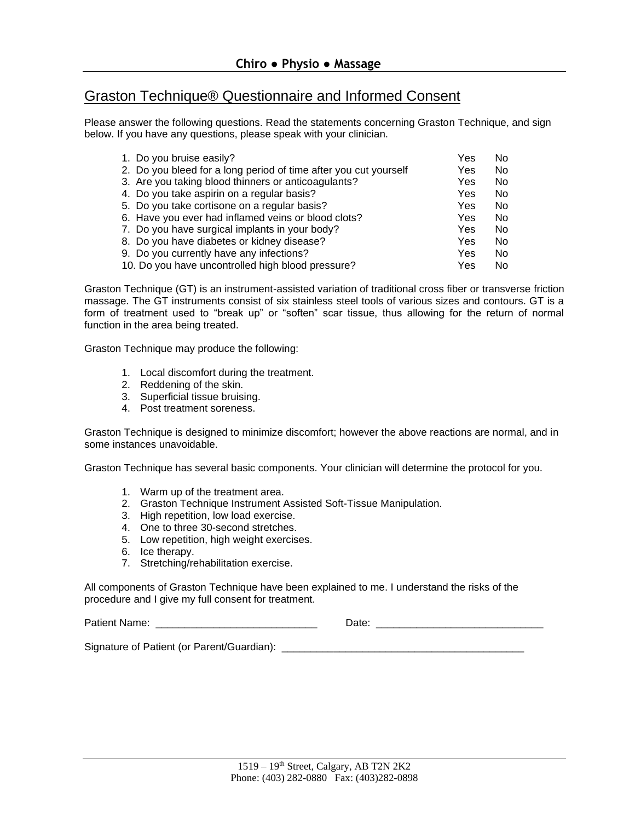## Graston Technique® Questionnaire and Informed Consent

Please answer the following questions. Read the statements concerning Graston Technique, and sign below. If you have any questions, please speak with your clinician.

| 1. Do you bruise easily?                                         | Yes | No. |
|------------------------------------------------------------------|-----|-----|
| 2. Do you bleed for a long period of time after you cut yourself | Yes | No. |
| 3. Are you taking blood thinners or anticoagulants?              | Yes | No. |
| 4. Do you take aspirin on a regular basis?                       | Yes | No. |
| 5. Do you take cortisone on a regular basis?                     | Yes | No. |
| 6. Have you ever had inflamed veins or blood clots?              | Yes | No. |
| 7. Do you have surgical implants in your body?                   | Yes | No. |
| 8. Do you have diabetes or kidney disease?                       | Yes | No. |
| 9. Do you currently have any infections?                         | Yes | No. |
| 10. Do you have uncontrolled high blood pressure?                | Yes | No. |

Graston Technique (GT) is an instrument-assisted variation of traditional cross fiber or transverse friction massage. The GT instruments consist of six stainless steel tools of various sizes and contours. GT is a form of treatment used to "break up" or "soften" scar tissue, thus allowing for the return of normal function in the area being treated.

Graston Technique may produce the following:

- 1. Local discomfort during the treatment.
- 2. Reddening of the skin.
- 3. Superficial tissue bruising.
- 4. Post treatment soreness.

Graston Technique is designed to minimize discomfort; however the above reactions are normal, and in some instances unavoidable.

Graston Technique has several basic components. Your clinician will determine the protocol for you.

- 1. Warm up of the treatment area.
- 2. Graston Technique Instrument Assisted Soft-Tissue Manipulation.
- 3. High repetition, low load exercise.
- 4. One to three 30-second stretches.
- 5. Low repetition, high weight exercises.
- 6. Ice therapy.
- 7. Stretching/rehabilitation exercise.

All components of Graston Technique have been explained to me. I understand the risks of the procedure and I give my full consent for treatment.

Patient Name: \_\_\_\_\_\_\_\_\_\_\_\_\_\_\_\_\_\_\_\_\_\_\_\_\_\_\_\_ Date: \_\_\_\_\_\_\_\_\_\_\_\_\_\_\_\_\_\_\_\_\_\_\_\_\_\_\_\_\_

Signature of Patient (or Parent/Guardian): \_\_\_\_\_\_\_\_\_\_\_\_\_\_\_\_\_\_\_\_\_\_\_\_\_\_\_\_\_\_\_\_\_\_\_\_\_\_\_\_\_\_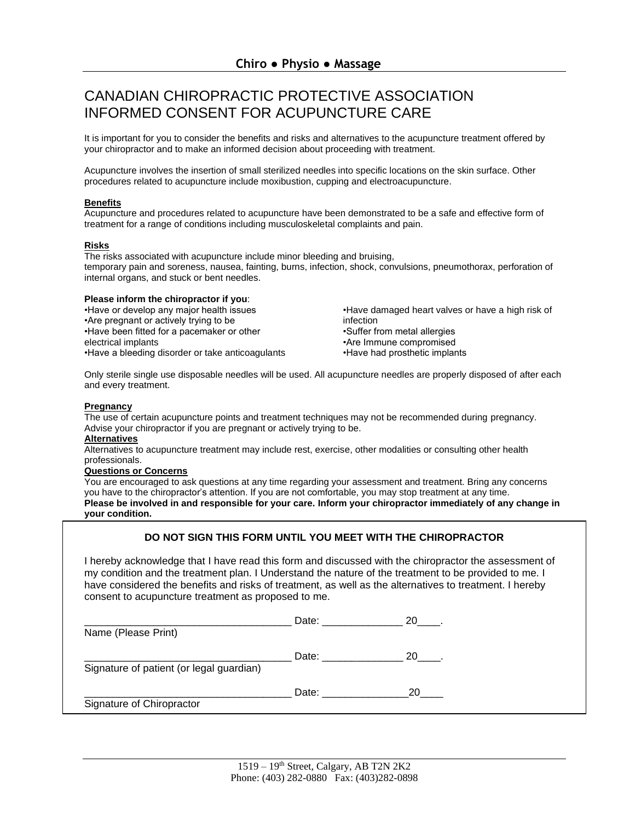## CANADIAN CHIROPRACTIC PROTECTIVE ASSOCIATION INFORMED CONSENT FOR ACUPUNCTURE CARE

It is important for you to consider the benefits and risks and alternatives to the acupuncture treatment offered by your chiropractor and to make an informed decision about proceeding with treatment.

Acupuncture involves the insertion of small sterilized needles into specific locations on the skin surface. Other procedures related to acupuncture include moxibustion, cupping and electroacupuncture.

## **Benefits**

Acupuncture and procedures related to acupuncture have been demonstrated to be a safe and effective form of treatment for a range of conditions including musculoskeletal complaints and pain.

## **Risks**

The risks associated with acupuncture include minor bleeding and bruising, temporary pain and soreness, nausea, fainting, burns, infection, shock, convulsions, pneumothorax, perforation of internal organs, and stuck or bent needles.

## **Please inform the chiropractor if you**:

•Have or develop any major health issues •Are pregnant or actively trying to be •Have been fitted for a pacemaker or other electrical implants •Have a bleeding disorder or take anticoagulants •Have damaged heart valves or have a high risk of infection •Suffer from metal allergies •Are Immune compromised •Have had prosthetic implants

Only sterile single use disposable needles will be used. All acupuncture needles are properly disposed of after each and every treatment.

## **Pregnancy**

The use of certain acupuncture points and treatment techniques may not be recommended during pregnancy. Advise your chiropractor if you are pregnant or actively trying to be.

## **Alternatives**

Alternatives to acupuncture treatment may include rest, exercise, other modalities or consulting other health professionals.

## **Questions or Concerns**

You are encouraged to ask questions at any time regarding your assessment and treatment. Bring any concerns you have to the chiropractor's attention. If you are not comfortable, you may stop treatment at any time. **Please be involved in and responsible for your care. Inform your chiropractor immediately of any change in your condition.** 

## **DO NOT SIGN THIS FORM UNTIL YOU MEET WITH THE CHIROPRACTOR**

I hereby acknowledge that I have read this form and discussed with the chiropractor the assessment of my condition and the treatment plan. I Understand the nature of the treatment to be provided to me. I have considered the benefits and risks of treatment, as well as the alternatives to treatment. I hereby consent to acupuncture treatment as proposed to me.

| Name (Please Print)                      | Date: the control of the control of the control of the control of the control of the control of the control of the control of the control of the control of the control of the control of the control of the control of the co | 20. |
|------------------------------------------|--------------------------------------------------------------------------------------------------------------------------------------------------------------------------------------------------------------------------------|-----|
| Signature of patient (or legal guardian) | Date:                                                                                                                                                                                                                          | 20  |
| Signature of Chiropractor                | Date:                                                                                                                                                                                                                          | 20  |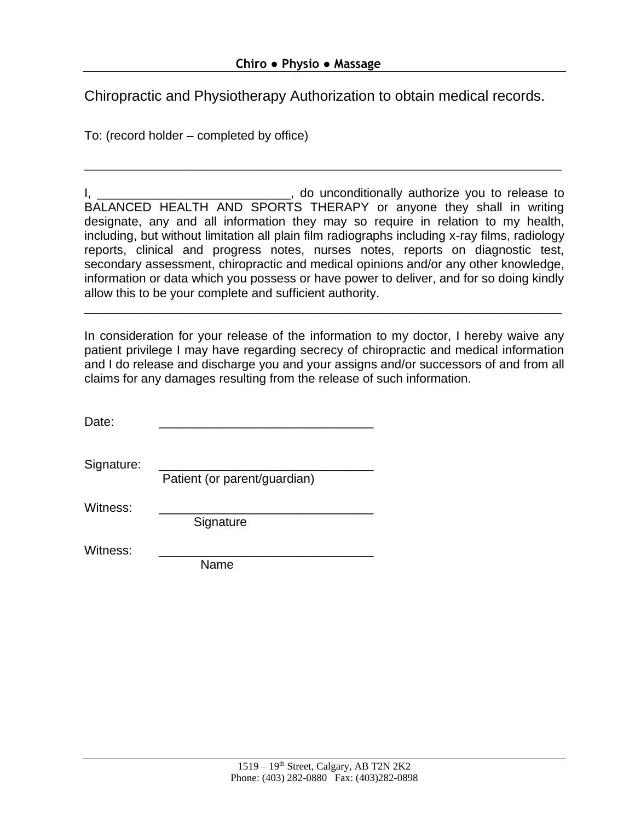Chiropractic and Physiotherapy Authorization to obtain medical records.

To: (record holder – completed by office)

I, \_\_\_\_\_\_\_\_\_\_\_\_\_\_\_\_\_\_\_\_\_\_\_\_\_\_\_\_\_\_, do unconditionally authorize you to release to BALANCED HEALTH AND SPORTS THERAPY or anyone they shall in writing designate, any and all information they may so require in relation to my health, including, but without limitation all plain film radiographs including x-ray films, radiology reports, clinical and progress notes, nurses notes, reports on diagnostic test, secondary assessment, chiropractic and medical opinions and/or any other knowledge, information or data which you possess or have power to deliver, and for so doing kindly allow this to be your complete and sufficient authority.

\_\_\_\_\_\_\_\_\_\_\_\_\_\_\_\_\_\_\_\_\_\_\_\_\_\_\_\_\_\_\_\_\_\_\_\_\_\_\_\_\_\_\_\_\_\_\_\_\_\_\_\_\_\_\_\_\_\_\_\_\_\_\_\_\_\_\_\_\_

In consideration for your release of the information to my doctor, I hereby waive any patient privilege I may have regarding secrecy of chiropractic and medical information and I do release and discharge you and your assigns and/or successors of and from all claims for any damages resulting from the release of such information.

\_\_\_\_\_\_\_\_\_\_\_\_\_\_\_\_\_\_\_\_\_\_\_\_\_\_\_\_\_\_\_\_\_\_\_\_\_\_\_\_\_\_\_\_\_\_\_\_\_\_\_\_\_\_\_\_\_\_\_\_\_\_\_\_\_\_\_\_\_

| Date:      |                              |
|------------|------------------------------|
| Signature: | Patient (or parent/guardian) |
| Witness:   | Signature                    |
| Witness:   | Name                         |